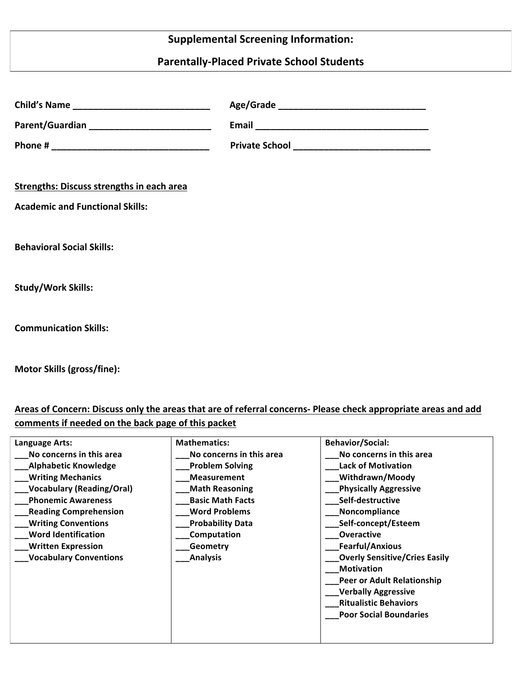# **Supplemental Screening Information:**

## **Parentally-Placed Private School Students**

| <b>Strengths: Discuss strengths in each area</b> |  |
|--------------------------------------------------|--|
| <b>Academic and Functional Skills:</b>           |  |
|                                                  |  |
| <b>Behavioral Social Skills:</b>                 |  |
|                                                  |  |
| <b>Study/Work Skills:</b>                        |  |
|                                                  |  |
| <b>Communication Skills:</b>                     |  |
|                                                  |  |

**Motor Skills (gross/fine):** 

Areas of Concern: Discuss only the areas that are of referral concerns- Please check appropriate areas and add comments if needed on the back page of this packet

| Language Arts:                   | <b>Mathematics:</b>      | <b>Behavior/Social:</b>              |
|----------------------------------|--------------------------|--------------------------------------|
| No concerns in this area         | No concerns in this area | No concerns in this area             |
| <b>Alphabetic Knowledge</b>      | <b>Problem Solving</b>   | <b>Lack of Motivation</b>            |
| <b>Writing Mechanics</b>         | <b>Measurement</b>       | Withdrawn/Moody                      |
| <b>Vocabulary (Reading/Oral)</b> | <b>Math Reasoning</b>    | <b>Physically Aggressive</b>         |
| <b>Phonemic Awareness</b>        | <b>Basic Math Facts</b>  | Self-destructive                     |
| <b>Reading Comprehension</b>     | <b>Word Problems</b>     | Noncompliance                        |
| <b>Writing Conventions</b>       | <b>Probability Data</b>  | Self-concept/Esteem                  |
| <b>Word Identification</b>       | Computation              | <b>Overactive</b>                    |
| <b>Written Expression</b>        | Geometry                 | <b>Fearful/Anxious</b>               |
| <b>Vocabulary Conventions</b>    | <b>Analysis</b>          | <b>Overly Sensitive/Cries Easily</b> |
|                                  |                          | <b>Motivation</b>                    |
|                                  |                          | Peer or Adult Relationship           |
|                                  |                          | <b>Verbally Aggressive</b>           |
|                                  |                          | <b>Ritualistic Behaviors</b>         |
|                                  |                          | <b>Poor Social Boundaries</b>        |
|                                  |                          |                                      |
|                                  |                          |                                      |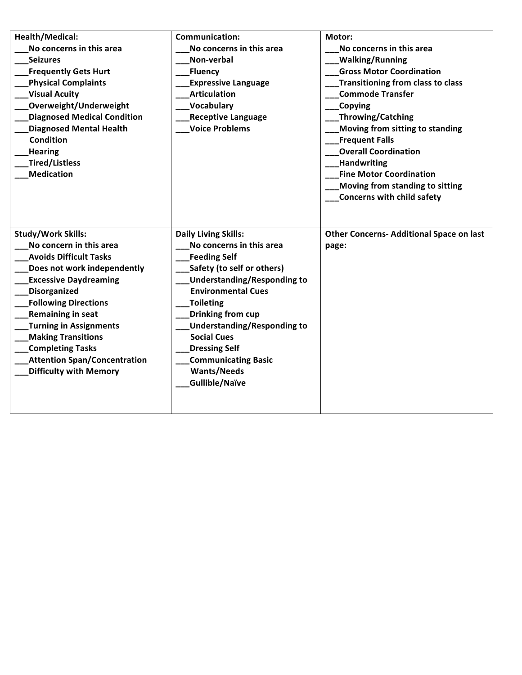| Health/Medical:<br>No concerns in this area<br><b>Seizures</b><br><b>Frequently Gets Hurt</b><br><b>Physical Complaints</b><br><b>Visual Acuity</b><br>Overweight/Underweight<br><b>Diagnosed Medical Condition</b><br><b>Diagnosed Mental Health</b><br><b>Condition</b><br><b>Hearing</b><br>Tired/Listless<br><b>Medication</b>                                                               | <b>Communication:</b><br>No concerns in this area<br>Non-verbal<br>Fluency<br><b>Expressive Language</b><br><b>Articulation</b><br>Vocabulary<br><b>Receptive Language</b><br><b>Voice Problems</b>                                                                                                                                                                                | Motor:<br>No concerns in this area<br><b>Walking/Running</b><br><b>Gross Motor Coordination</b><br><b>Transitioning from class to class</b><br><b>Commode Transfer</b><br>Copying<br><b>Throwing/Catching</b><br>Moving from sitting to standing<br><b>Frequent Falls</b><br><b>Overall Coordination</b><br>Handwriting<br><b>Fine Motor Coordination</b><br>Moving from standing to sitting<br>Concerns with child safety |
|--------------------------------------------------------------------------------------------------------------------------------------------------------------------------------------------------------------------------------------------------------------------------------------------------------------------------------------------------------------------------------------------------|------------------------------------------------------------------------------------------------------------------------------------------------------------------------------------------------------------------------------------------------------------------------------------------------------------------------------------------------------------------------------------|----------------------------------------------------------------------------------------------------------------------------------------------------------------------------------------------------------------------------------------------------------------------------------------------------------------------------------------------------------------------------------------------------------------------------|
| <b>Study/Work Skills:</b><br>No concern in this area<br><b>Avoids Difficult Tasks</b><br>Does not work independently<br><b>Excessive Daydreaming</b><br>Disorganized<br><b>Following Directions</b><br><b>Remaining in seat</b><br><b>Turning in Assignments</b><br><b>Making Transitions</b><br><b>Completing Tasks</b><br><b>Attention Span/Concentration</b><br><b>Difficulty with Memory</b> | <b>Daily Living Skills:</b><br>No concerns in this area<br><b>Feeding Self</b><br>Safety (to self or others)<br><b>Understanding/Responding to</b><br><b>Environmental Cues</b><br>Toileting<br><b>Drinking from cup</b><br><b>Understanding/Responding to</b><br><b>Social Cues</b><br><b>Dressing Self</b><br><b>Communicating Basic</b><br><b>Wants/Needs</b><br>Gullible/Naïve | <b>Other Concerns- Additional Space on last</b><br>page:                                                                                                                                                                                                                                                                                                                                                                   |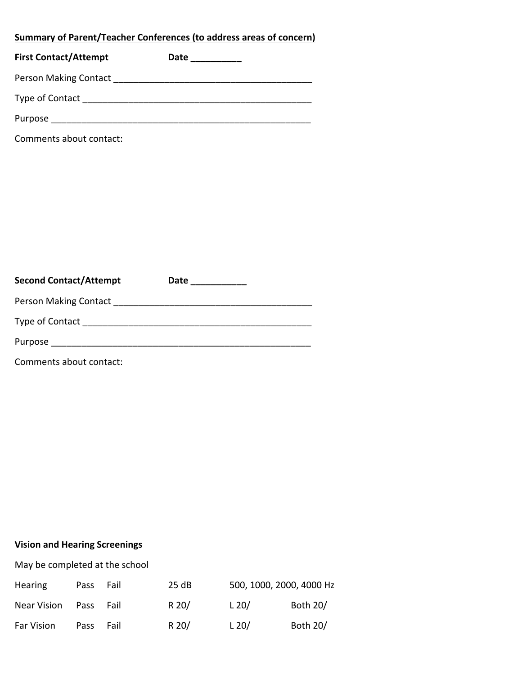## **<u>Summary of Parent/Teacher Conferences (to address areas of concern)</u>**

| <b>First Contact/Attempt</b> | Date |  |
|------------------------------|------|--|
| <b>Person Making Contact</b> |      |  |
| Type of Contact              |      |  |
| Purpose                      |      |  |

Comments about contact:

| <b>Second Contact/Attempt</b> | Date |  |
|-------------------------------|------|--|
| Person Making Contact         |      |  |
| Type of Contact               |      |  |
| Purpose                       |      |  |
|                               |      |  |

Comments about contact:

#### **Vision and Hearing Screenings**

May be completed at the school

| <b>Hearing</b>   | Pass        | Fail   | 25 dB   | 500, 1000, 2000, 4000 Hz |          |
|------------------|-------------|--------|---------|--------------------------|----------|
| Near Vision Pass |             | – Fail | $R$ 20/ | L 20/                    | Both 20/ |
| Far Vision       | <b>Pass</b> | Fail   | $R$ 20/ | L 20/                    | Both 20/ |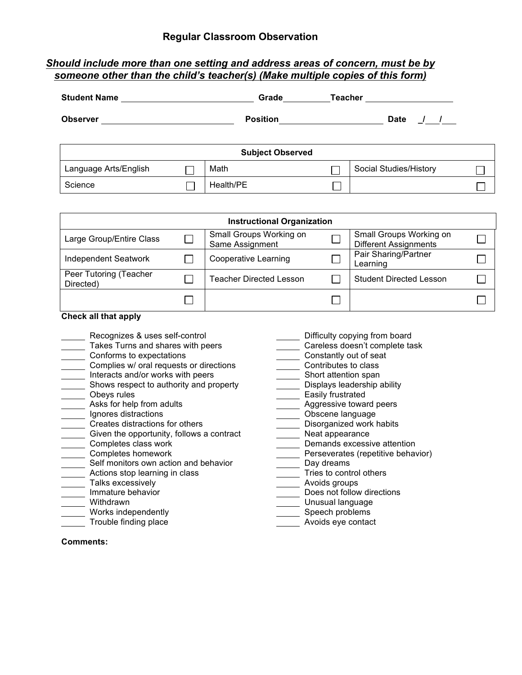#### *Should include more than one setting and address areas of concern, must be by someone other than the child's teacher(s) (Make multiple copies of this form)*

| <b>Student Name</b>   |                                                                          | Grade                   | <b>Teacher</b> |                              |  |
|-----------------------|--------------------------------------------------------------------------|-------------------------|----------------|------------------------------|--|
| <b>Observer</b>       | <b>Position</b><br><u> 1980 - Jan Stein Berlin, amerikansk politiker</u> |                         |                | <b>Date</b><br>$\frac{1}{2}$ |  |
|                       |                                                                          | <b>Subject Observed</b> |                |                              |  |
| Language Arts/English |                                                                          | Math                    |                | Social Studies/History       |  |
| Science               |                                                                          | Health/PE               |                |                              |  |

| <b>Instructional Organization</b>   |  |                                            |  |                                                         |  |  |  |
|-------------------------------------|--|--------------------------------------------|--|---------------------------------------------------------|--|--|--|
| Large Group/Entire Class            |  | Small Groups Working on<br>Same Assignment |  | Small Groups Working on<br><b>Different Assignments</b> |  |  |  |
| <b>Independent Seatwork</b>         |  | <b>Cooperative Learning</b>                |  | Pair Sharing/Partner<br>Learning                        |  |  |  |
| Peer Tutoring (Teacher<br>Directed) |  | <b>Teacher Directed Lesson</b>             |  | <b>Student Directed Lesson</b>                          |  |  |  |
|                                     |  |                                            |  |                                                         |  |  |  |

#### **Check all that apply**

- \_\_\_\_\_ Recognizes & uses self-control \_\_\_\_\_\_\_\_\_\_\_\_\_\_\_\_\_\_\_\_\_\_\_\_ Difficulty copying from board<br>\_\_\_\_\_ Takes Turns and shares with peers \_\_\_\_\_\_\_\_\_\_\_\_\_\_\_\_\_\_\_\_\_\_Careless doesn't complete ta
- Takes Turns and shares with peers Turns and shares with peers Careless doesn't complete task<br>Conforms to expectations Constantly out of seat
- 
- Complies w/ oral requests or directions<br>
Interacts and/or works with peers<br>
Contributes to class<br>
Short attention span
- □ Interacts and/or works with peers <br>
 Short attention span<br>
Shows respect to authority and property <br>
 Displays leadership ability
- $\frac{1}{2}$  Shows respect to authority and property
- 
- 
- 
- 
- Creates distractions for others Disorganized work habits  $\frac{1}{\sqrt{1-\frac{1}{n}}}$  Given the opportunity, follows a contract
- 
- 
- ◯ Self monitors own action and behavior<br>
◯ Actions stop learning in class Tries to control others
- Actions stop learning in class<br>
Talks excessively
- Talks excessively<br>
Immature behavior<br>  $\overline{\qquad}$  Avoids groups<br>
Does not follow
- 
- 
- Works independently<br>Trouble finding place<br>Trouble finding place<br>Noids eye contact and the structure of the structure of the structure of the structure of the structure of the structure of the structure of the structure of
- 
- 
- 
- Constantly out of seat<br>
Contributes to class
- 
- 
- 
- Obeys rules **Easily** frustrated
	- Aggressive toward peers<br>
	<u>Aggressive</u> toward peers<br>
	Obscene language
	-
- Asks for help from adults<br>
Ignores distractions<br>
Creates distractions for others<br>
Obscene language<br>
Disorganized work habits
	-
	- Completes class work <br>
	Completes homework **Demands excessive attention**<br>
	Perseverates (repetitive behavior)
		- Completes (repetitive behavior)<br>Completes persents per and persent persons per approximation
		- -
		- - **IMMature Behavior Does not follow directions**
	- Withdrawn **Unusual language** 
		- - Avoids eye contact

**Comments:**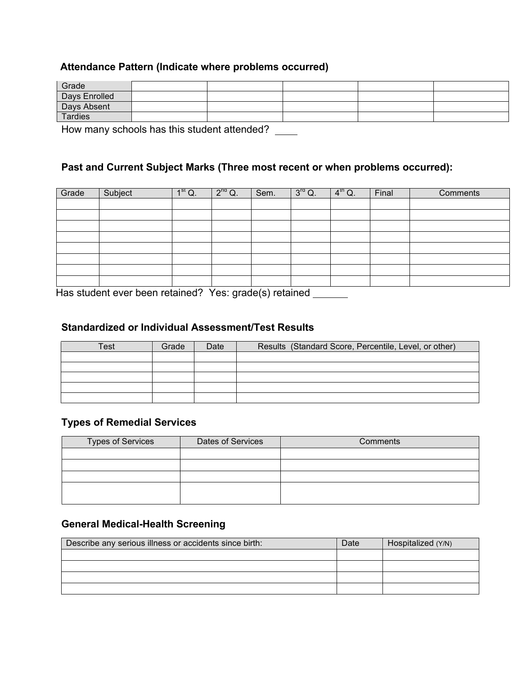#### **Attendance Pattern (Indicate where problems occurred)**

| Grade         |  |  |  |
|---------------|--|--|--|
| Days Enrolled |  |  |  |
| Days Absent   |  |  |  |
| Tardies       |  |  |  |

How many schools has this student attended? \_\_\_\_

#### **Past and Current Subject Marks (Three most recent or when problems occurred):**

| Grade | Subject                                                                                 | 1 <sup>st</sup> Q. | $2^{nq}$ Q. | Sem. | $3^{rd}$ Q. | $4^{\text{th}}$ Q. | Final | Comments |
|-------|-----------------------------------------------------------------------------------------|--------------------|-------------|------|-------------|--------------------|-------|----------|
|       |                                                                                         |                    |             |      |             |                    |       |          |
|       |                                                                                         |                    |             |      |             |                    |       |          |
|       |                                                                                         |                    |             |      |             |                    |       |          |
|       |                                                                                         |                    |             |      |             |                    |       |          |
|       |                                                                                         |                    |             |      |             |                    |       |          |
|       |                                                                                         |                    |             |      |             |                    |       |          |
|       |                                                                                         |                    |             |      |             |                    |       |          |
|       |                                                                                         |                    |             |      |             |                    |       |          |
|       | المعاولين والملحول والمستحدث والمتحارب والمستحلحة والمتحدث والمتحارب والمنابلة والمحارب |                    |             |      |             |                    |       |          |

 Has student ever been retained? Yes: grade(s) retained

#### **Standardized or Individual Assessment/Test Results**

| Test | Grade | Date | Results (Standard Score, Percentile, Level, or other) |
|------|-------|------|-------------------------------------------------------|
|      |       |      |                                                       |
|      |       |      |                                                       |
|      |       |      |                                                       |
|      |       |      |                                                       |
|      |       |      |                                                       |

### **Types of Remedial Services**

| Types of Services | Dates of Services | Comments |
|-------------------|-------------------|----------|
|                   |                   |          |
|                   |                   |          |
|                   |                   |          |
|                   |                   |          |
|                   |                   |          |

## **General Medical-Health Screening**

| Describe any serious illness or accidents since birth: | Date | Hospitalized (Y/N) |  |  |
|--------------------------------------------------------|------|--------------------|--|--|
|                                                        |      |                    |  |  |
|                                                        |      |                    |  |  |
|                                                        |      |                    |  |  |
|                                                        |      |                    |  |  |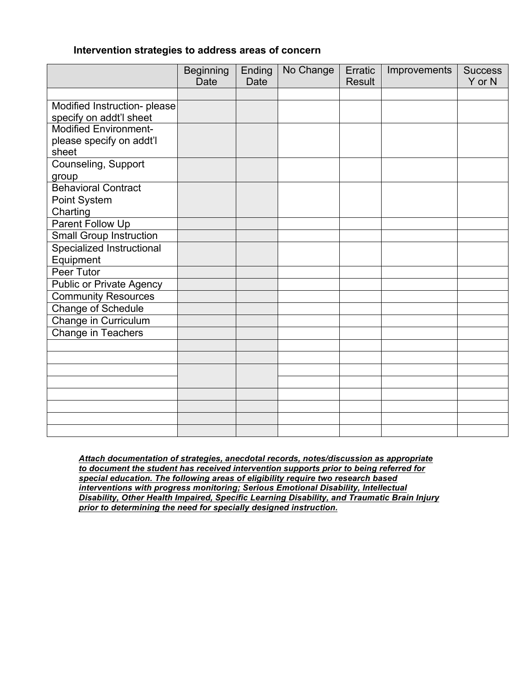#### **Intervention strategies to address areas of concern**

|                                                         | <b>Beginning</b> | Ending      | No Change | Erratic       | Improvements | <b>Success</b> |
|---------------------------------------------------------|------------------|-------------|-----------|---------------|--------------|----------------|
|                                                         | <b>Date</b>      | <b>Date</b> |           | <b>Result</b> |              | Y or N         |
|                                                         |                  |             |           |               |              |                |
| Modified Instruction- please                            |                  |             |           |               |              |                |
| specify on addt'l sheet<br><b>Modified Environment-</b> |                  |             |           |               |              |                |
|                                                         |                  |             |           |               |              |                |
| please specify on addt'l<br>sheet                       |                  |             |           |               |              |                |
| Counseling, Support                                     |                  |             |           |               |              |                |
| group                                                   |                  |             |           |               |              |                |
| <b>Behavioral Contract</b>                              |                  |             |           |               |              |                |
| Point System                                            |                  |             |           |               |              |                |
| Charting                                                |                  |             |           |               |              |                |
| Parent Follow Up                                        |                  |             |           |               |              |                |
| <b>Small Group Instruction</b>                          |                  |             |           |               |              |                |
| Specialized Instructional                               |                  |             |           |               |              |                |
| Equipment                                               |                  |             |           |               |              |                |
| <b>Peer Tutor</b>                                       |                  |             |           |               |              |                |
| <b>Public or Private Agency</b>                         |                  |             |           |               |              |                |
| <b>Community Resources</b>                              |                  |             |           |               |              |                |
| <b>Change of Schedule</b>                               |                  |             |           |               |              |                |
| Change in Curriculum                                    |                  |             |           |               |              |                |
| <b>Change in Teachers</b>                               |                  |             |           |               |              |                |
|                                                         |                  |             |           |               |              |                |
|                                                         |                  |             |           |               |              |                |
|                                                         |                  |             |           |               |              |                |
|                                                         |                  |             |           |               |              |                |
|                                                         |                  |             |           |               |              |                |
|                                                         |                  |             |           |               |              |                |
|                                                         |                  |             |           |               |              |                |
|                                                         |                  |             |           |               |              |                |

*Attach documentation of strategies, anecdotal records, notes/discussion as appropriate to document the student has received intervention supports prior to being referred for special education. The following areas of eligibility require two research based interventions with progress monitoring; Serious Emotional Disability, Intellectual Disability, Other Health Impaired, Specific Learning Disability, and Traumatic Brain Injury prior to determining the need for specially designed instruction.*